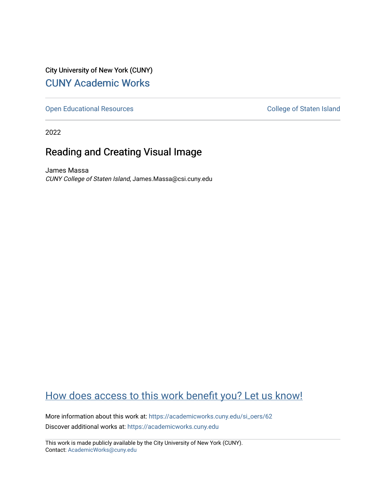City University of New York (CUNY) [CUNY Academic Works](https://academicworks.cuny.edu/) 

[Open Educational Resources](https://academicworks.cuny.edu/si_oers) **College of Staten Island** 

2022

# Reading and Creating Visual Image

James Massa CUNY College of Staten Island, James.Massa@csi.cuny.edu

# [How does access to this work benefit you? Let us know!](http://ols.cuny.edu/academicworks/?ref=https://academicworks.cuny.edu/si_oers/62)

More information about this work at: [https://academicworks.cuny.edu/si\\_oers/62](https://academicworks.cuny.edu/si_oers/62) Discover additional works at: [https://academicworks.cuny.edu](https://academicworks.cuny.edu/?)

This work is made publicly available by the City University of New York (CUNY). Contact: [AcademicWorks@cuny.edu](mailto:AcademicWorks@cuny.edu)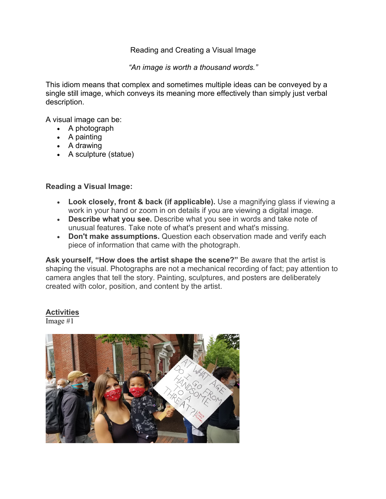## Reading and Creating a Visual Image

*"An image is worth a thousand words."*

This idiom means that complex and sometimes multiple ideas can be conveyed by a single still image, which conveys its meaning more effectively than simply just verbal description.

A visual image can be:

- A photograph
- A painting
- A drawing
- A sculpture (statue)

### **Reading a Visual Image:**

- **Look closely, front & back (if applicable).** Use a magnifying glass if viewing a work in your hand or zoom in on details if you are viewing a digital image.
- **Describe what you see.** Describe what you see in words and take note of unusual features. Take note of what's present and what's missing.
- **Don't make assumptions.** Question each observation made and verify each piece of information that came with the photograph.

**Ask yourself, "How does the artist shape the scene?"** Be aware that the artist is shaping the visual. Photographs are not a mechanical recording of fact; pay attention to camera angles that tell the story. Painting, sculptures, and posters are deliberately created with color, position, and content by the artist.

### **Activities**

Image #1

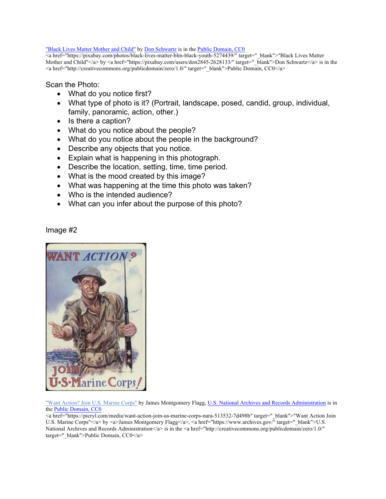#### "Black Lives Matter Mother and Child" by Don Schwartz is in the Public Domain, CC0

<a href="https://pixabay.com/photos/black-lives-matter-blm-black-youth-5274439/" target="\_blank">"Black Lives Matter Mother and Child"</a> by <a href="https://pixabay.com/users/don2845-2628133/" target="\_blank">Don Schwartz</a> is in the <a href="http://creativecommons.org/publicdomain/zero/1.0/" target=" blank">Public Domain, CC0</a>

Scan the Photo:

- What do you notice first?
- What type of photo is it? (Portrait, landscape, posed, candid, group, individual, family, panoramic, action, other.)
- Is there a caption?
- What do you notice about the people?
- What do you notice about the people in the background?
- Describe any objects that you notice.
- Explain what is happening in this photograph.
- Describe the location, setting, time, time period.
- What is the mood created by this image?
- What was happening at the time this photo was taken?
- Who is the intended audience?
- What can you infer about the purpose of this photo?

Image #2



"Want Action? Join U.S. Marine Corps" by James Montgomery Flagg, U.S. National Archives and Records Administration is in the Public Domain, CC0

<a href="https://picryl.com/media/want-action-join-us-marine-corps-nara-513532-7d498b" target="\_blank">"Want Action Join U.S. Marine Corps"</a> by <a>James Montgomery Flagg</a>, <a href="https://www.archives.gov/" target="\_blank">U.S. National Archives and Records Administration</a> is in the <a href="http://creativecommons.org/publicdomain/zero/1.0/" target="\_blank">Public Domain, CC0</a>